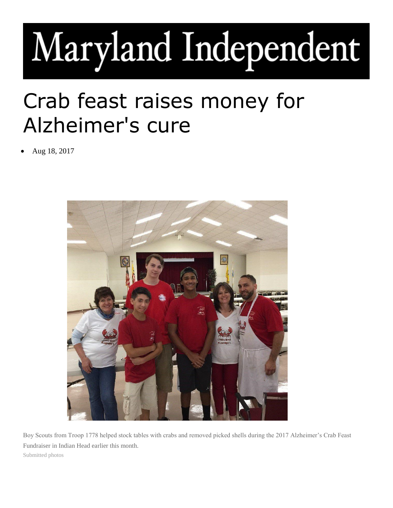## Maryland Independent

## Crab feast raises money for Alzheimer's cure

• Aug 18, 2017



Boy Scouts from Troop 1778 helped stock tables with crabs and removed picked shells during the 2017 Alzheimer's Crab Feast Fundraiser in Indian Head earlier this month. Submitted photos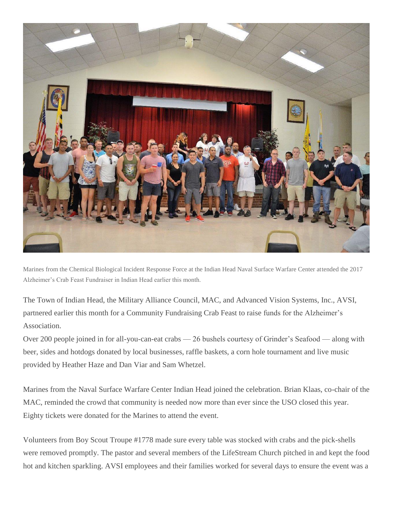

Marines from the Chemical Biological Incident Response Force at the Indian Head Naval Surface Warfare Center attended the 2017 Alzheimer's Crab Feast Fundraiser in Indian Head earlier this month.

The Town of Indian Head, the Military Alliance Council, MAC, and Advanced Vision Systems, Inc., AVSI, partnered earlier this month for a Community Fundraising Crab Feast to raise funds for the Alzheimer's Association.

Over 200 people joined in for all-you-can-eat crabs — 26 bushels courtesy of Grinder's Seafood — along with beer, sides and hotdogs donated by local businesses, raffle baskets, a corn hole tournament and live music provided by Heather Haze and Dan Viar and Sam Whetzel.

Marines from the Naval Surface Warfare Center Indian Head joined the celebration. Brian Klaas, co-chair of the MAC, reminded the crowd that community is needed now more than ever since the USO closed this year. Eighty tickets were donated for the Marines to attend the event.

Volunteers from Boy Scout Troupe #1778 made sure every table was stocked with crabs and the pick-shells were removed promptly. The pastor and several members of the LifeStream Church pitched in and kept the food hot and kitchen sparkling. AVSI employees and their families worked for several days to ensure the event was a